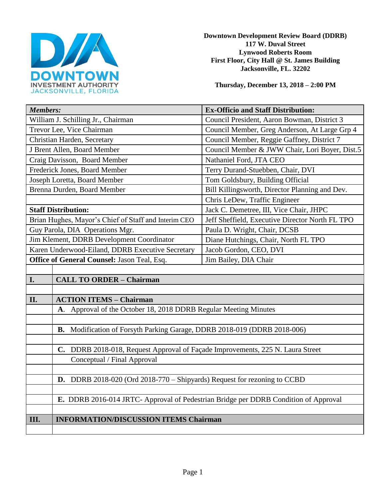

**Downtown Development Review Board (DDRB) 117 W. Duval Street Lynwood Roberts Room First Floor, City Hall @ St. James Building Jacksonville, FL. 32202** 

**Thursday, December 13, 2018 – 2:00 PM**

| <b>Members:</b>                                                                     | <b>Ex-Officio and Staff Distribution:</b>       |
|-------------------------------------------------------------------------------------|-------------------------------------------------|
| William J. Schilling Jr., Chairman                                                  | Council President, Aaron Bowman, District 3     |
| Trevor Lee, Vice Chairman                                                           | Council Member, Greg Anderson, At Large Grp 4   |
| Christian Harden, Secretary                                                         | Council Member, Reggie Gaffney, District 7      |
| J Brent Allen, Board Member                                                         | Council Member & JWW Chair, Lori Boyer, Dist.5  |
| Craig Davisson, Board Member                                                        | Nathaniel Ford, JTA CEO                         |
| Frederick Jones, Board Member                                                       | Terry Durand-Stuebben, Chair, DVI               |
| Joseph Loretta, Board Member                                                        | Tom Goldsbury, Building Official                |
| Brenna Durden, Board Member                                                         | Bill Killingsworth, Director Planning and Dev.  |
|                                                                                     | Chris LeDew, Traffic Engineer                   |
| <b>Staff Distribution:</b>                                                          | Jack C. Demetree, III, Vice Chair, JHPC         |
| Brian Hughes, Mayor's Chief of Staff and Interim CEO                                | Jeff Sheffield, Executive Director North FL TPO |
| Guy Parola, DIA Operations Mgr.                                                     | Paula D. Wright, Chair, DCSB                    |
| Jim Klement, DDRB Development Coordinator                                           | Diane Hutchings, Chair, North FL TPO            |
| Karen Underwood-Eiland, DDRB Executive Secretary                                    | Jacob Gordon, CEO, DVI                          |
| Office of General Counsel: Jason Teal, Esq.                                         | Jim Bailey, DIA Chair                           |
|                                                                                     |                                                 |
| I.<br><b>CALL TO ORDER - Chairman</b>                                               |                                                 |
|                                                                                     |                                                 |
| II.<br><b>ACTION ITEMS - Chairman</b>                                               |                                                 |
| A. Approval of the October 18, 2018 DDRB Regular Meeting Minutes                    |                                                 |
|                                                                                     |                                                 |
| B. Modification of Forsyth Parking Garage, DDRB 2018-019 (DDRB 2018-006)            |                                                 |
|                                                                                     |                                                 |
| C. DDRB 2018-018, Request Approval of Façade Improvements, 225 N. Laura Street      |                                                 |
| Conceptual / Final Approval                                                         |                                                 |
|                                                                                     |                                                 |
| <b>D.</b> DDRB 2018-020 (Ord 2018-770 – Shipyards) Request for rezoning to CCBD     |                                                 |
|                                                                                     |                                                 |
| E. DDRB 2016-014 JRTC- Approval of Pedestrian Bridge per DDRB Condition of Approval |                                                 |
|                                                                                     |                                                 |
| <b>INFORMATION/DISCUSSION ITEMS Chairman</b><br>III.                                |                                                 |
|                                                                                     |                                                 |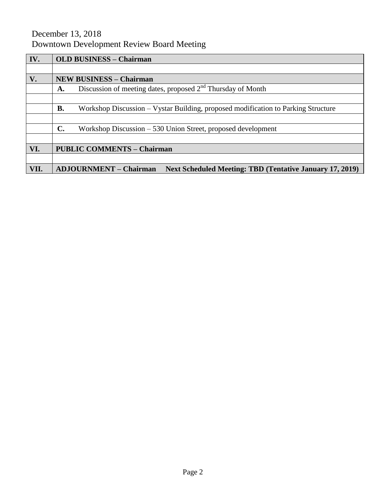# December 13, 2018 Downtown Development Review Board Meeting

| IV.  | <b>OLD BUSINESS - Chairman</b>                                                                   |  |
|------|--------------------------------------------------------------------------------------------------|--|
|      |                                                                                                  |  |
| V.   | <b>NEW BUSINESS - Chairman</b>                                                                   |  |
|      | Discussion of meeting dates, proposed $2nd$ Thursday of Month<br>A.                              |  |
|      |                                                                                                  |  |
|      | Workshop Discussion – Vystar Building, proposed modification to Parking Structure<br><b>B.</b>   |  |
|      |                                                                                                  |  |
|      | $\mathbf{C}$ .<br>Workshop Discussion – 530 Union Street, proposed development                   |  |
|      |                                                                                                  |  |
| VI.  | <b>PUBLIC COMMENTS - Chairman</b>                                                                |  |
|      |                                                                                                  |  |
| VII. | <b>ADJOURNMENT – Chairman</b><br><b>Next Scheduled Meeting: TBD (Tentative January 17, 2019)</b> |  |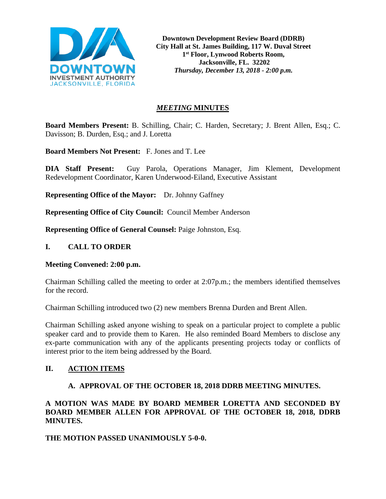

**Downtown Development Review Board (DDRB) City Hall at St. James Building, 117 W. Duval Street 1st Floor, Lynwood Roberts Room, Jacksonville, FL. 32202** *Thursday, December 13, 2018 - 2:00 p.m.*

# *MEETING* **MINUTES**

**Board Members Present:** B. Schilling, Chair; C. Harden, Secretary; J. Brent Allen, Esq.; C. Davisson; B. Durden, Esq.; and J. Loretta

**Board Members Not Present:** F. Jones and T. Lee

**DIA Staff Present:** Guy Parola, Operations Manager, Jim Klement, Development Redevelopment Coordinator, Karen Underwood-Eiland, Executive Assistant

**Representing Office of the Mayor:** Dr. Johnny Gaffney

**Representing Office of City Council:** Council Member Anderson

**Representing Office of General Counsel:** Paige Johnston, Esq.

## **I. CALL TO ORDER**

#### **Meeting Convened: 2:00 p.m.**

Chairman Schilling called the meeting to order at 2:07p.m.; the members identified themselves for the record.

Chairman Schilling introduced two (2) new members Brenna Durden and Brent Allen.

Chairman Schilling asked anyone wishing to speak on a particular project to complete a public speaker card and to provide them to Karen. He also reminded Board Members to disclose any ex-parte communication with any of the applicants presenting projects today or conflicts of interest prior to the item being addressed by the Board.

# **II. ACTION ITEMS**

#### **A. APPROVAL OF THE OCTOBER 18, 2018 DDRB MEETING MINUTES.**

**A MOTION WAS MADE BY BOARD MEMBER LORETTA AND SECONDED BY BOARD MEMBER ALLEN FOR APPROVAL OF THE OCTOBER 18, 2018, DDRB MINUTES.** 

**THE MOTION PASSED UNANIMOUSLY 5-0-0.**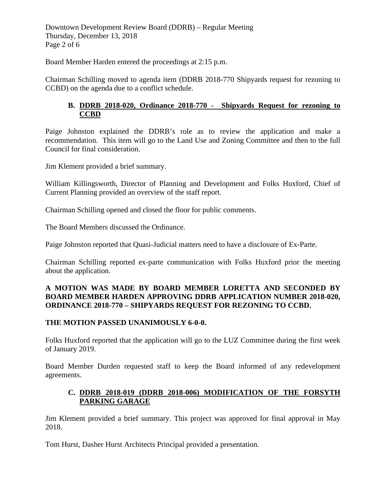Downtown Development Review Board (DDRB) – Regular Meeting Thursday, December 13, 2018 Page 2 of 6

Board Member Harden entered the proceedings at 2:15 p.m.

Chairman Schilling moved to agenda item (DDRB 2018-770 Shipyards request for rezoning to CCBD) on the agenda due to a conflict schedule.

# **B. DDRB 2018-020, Ordinance 2018-770 - Shipyards Request for rezoning to CCBD**

Paige Johnston explained the DDRB's role as to review the application and make a recommendation. This item will go to the Land Use and Zoning Committee and then to the full Council for final consideration.

Jim Klement provided a brief summary.

William Killingsworth, Director of Planning and Development and Folks Huxford, Chief of Current Planning provided an overview of the staff report.

Chairman Schilling opened and closed the floor for public comments.

The Board Members discussed the Ordinance.

Paige Johnston reported that Quasi-Judicial matters need to have a disclosure of Ex-Parte.

Chairman Schilling reported ex-parte communication with Folks Huxford prior the meeting about the application.

# **A MOTION WAS MADE BY BOARD MEMBER LORETTA AND SECONDED BY BOARD MEMBER HARDEN APPROVING DDRB APPLICATION NUMBER 2018-020, ORDINANCE 2018-770 – SHIPYARDS REQUEST FOR REZONING TO CCBD.**

# **THE MOTION PASSED UNANIMOUSLY 6-0-0.**

Folks Huxford reported that the application will go to the LUZ Committee during the first week of January 2019.

Board Member Durden requested staff to keep the Board informed of any redevelopment agreements.

# **C. DDRB 2018-019 (DDRB 2018-006) MODIFICATION OF THE FORSYTH PARKING GARAGE**

Jim Klement provided a brief summary. This project was approved for final approval in May 2018.

Tom Hurst, Dasher Hurst Architects Principal provided a presentation.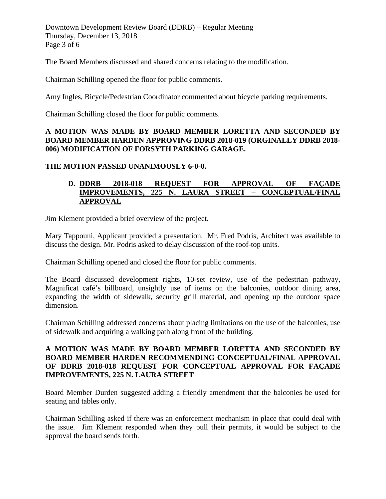Downtown Development Review Board (DDRB) – Regular Meeting Thursday, December 13, 2018 Page 3 of 6

The Board Members discussed and shared concerns relating to the modification.

Chairman Schilling opened the floor for public comments.

Amy Ingles, Bicycle/Pedestrian Coordinator commented about bicycle parking requirements.

Chairman Schilling closed the floor for public comments.

## **A MOTION WAS MADE BY BOARD MEMBER LORETTA AND SECONDED BY BOARD MEMBER HARDEN APPROVING DDRB 2018-019 (ORGINALLY DDRB 2018- 006) MODIFICATION OF FORSYTH PARKING GARAGE.**

## **THE MOTION PASSED UNANIMOUSLY 6-0-0.**

# **D. DDRB 2018-018 REQUEST FOR APPROVAL OF FAÇADE IMPROVEMENTS, 225 N. LAURA STREET – CONCEPTUAL/FINAL APPROVAL**

Jim Klement provided a brief overview of the project.

Mary Tappouni, Applicant provided a presentation. Mr. Fred Podris, Architect was available to discuss the design. Mr. Podris asked to delay discussion of the roof-top units.

Chairman Schilling opened and closed the floor for public comments.

The Board discussed development rights, 10-set review, use of the pedestrian pathway, Magnificat café's billboard, unsightly use of items on the balconies, outdoor dining area, expanding the width of sidewalk, security grill material, and opening up the outdoor space dimension.

Chairman Schilling addressed concerns about placing limitations on the use of the balconies, use of sidewalk and acquiring a walking path along front of the building.

## **A MOTION WAS MADE BY BOARD MEMBER LORETTA AND SECONDED BY BOARD MEMBER HARDEN RECOMMENDING CONCEPTUAL/FINAL APPROVAL OF DDRB 2018-018 REQUEST FOR CONCEPTUAL APPROVAL FOR FAÇADE IMPROVEMENTS, 225 N. LAURA STREET**

Board Member Durden suggested adding a friendly amendment that the balconies be used for seating and tables only.

Chairman Schilling asked if there was an enforcement mechanism in place that could deal with the issue. Jim Klement responded when they pull their permits, it would be subject to the approval the board sends forth.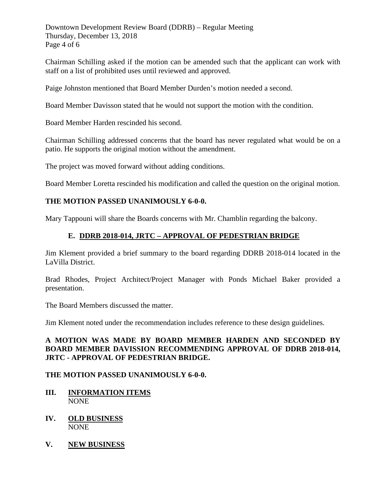Downtown Development Review Board (DDRB) – Regular Meeting Thursday, December 13, 2018 Page 4 of 6

Chairman Schilling asked if the motion can be amended such that the applicant can work with staff on a list of prohibited uses until reviewed and approved.

Paige Johnston mentioned that Board Member Durden's motion needed a second.

Board Member Davisson stated that he would not support the motion with the condition.

Board Member Harden rescinded his second.

Chairman Schilling addressed concerns that the board has never regulated what would be on a patio. He supports the original motion without the amendment.

The project was moved forward without adding conditions.

Board Member Loretta rescinded his modification and called the question on the original motion.

#### **THE MOTION PASSED UNANIMOUSLY 6-0-0.**

Mary Tappouni will share the Boards concerns with Mr. Chamblin regarding the balcony.

# **E. DDRB 2018-014, JRTC – APPROVAL OF PEDESTRIAN BRIDGE**

Jim Klement provided a brief summary to the board regarding DDRB 2018-014 located in the LaVilla District.

Brad Rhodes, Project Architect/Project Manager with Ponds Michael Baker provided a presentation.

The Board Members discussed the matter.

Jim Klement noted under the recommendation includes reference to these design guidelines.

# **A MOTION WAS MADE BY BOARD MEMBER HARDEN AND SECONDED BY BOARD MEMBER DAVISSION RECOMMENDING APPROVAL OF DDRB 2018-014, JRTC - APPROVAL OF PEDESTRIAN BRIDGE.**

#### **THE MOTION PASSED UNANIMOUSLY 6-0-0.**

- **III. INFORMATION ITEMS** NONE
- **IV. OLD BUSINESS** NONE
- **V. NEW BUSINESS**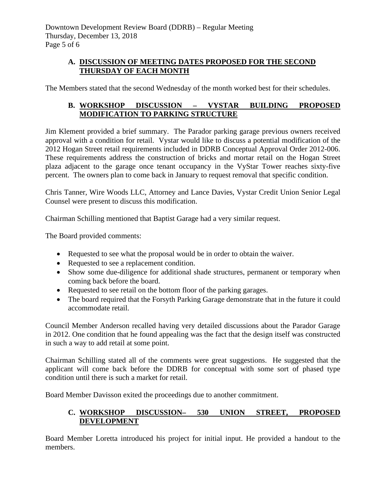# **A. DISCUSSION OF MEETING DATES PROPOSED FOR THE SECOND THURSDAY OF EACH MONTH**

The Members stated that the second Wednesday of the month worked best for their schedules.

# **B. WORKSHOP DISCUSSION – VYSTAR BUILDING PROPOSED MODIFICATION TO PARKING STRUCTURE**

Jim Klement provided a brief summary. The Parador parking garage previous owners received approval with a condition for retail. Vystar would like to discuss a potential modification of the 2012 Hogan Street retail requirements included in DDRB Conceptual Approval Order 2012-006. These requirements address the construction of bricks and mortar retail on the Hogan Street plaza adjacent to the garage once tenant occupancy in the VyStar Tower reaches sixty-five percent. The owners plan to come back in January to request removal that specific condition.

Chris Tanner, Wire Woods LLC, Attorney and Lance Davies, Vystar Credit Union Senior Legal Counsel were present to discuss this modification.

Chairman Schilling mentioned that Baptist Garage had a very similar request.

The Board provided comments:

- Requested to see what the proposal would be in order to obtain the waiver.
- Requested to see a replacement condition.
- Show some due-diligence for additional shade structures, permanent or temporary when coming back before the board.
- Requested to see retail on the bottom floor of the parking garages.
- The board required that the Forsyth Parking Garage demonstrate that in the future it could accommodate retail.

Council Member Anderson recalled having very detailed discussions about the Parador Garage in 2012. One condition that he found appealing was the fact that the design itself was constructed in such a way to add retail at some point.

Chairman Schilling stated all of the comments were great suggestions. He suggested that the applicant will come back before the DDRB for conceptual with some sort of phased type condition until there is such a market for retail.

Board Member Davisson exited the proceedings due to another commitment.

# **C. WORKSHOP DISCUSSION– 530 UNION STREET, PROPOSED DEVELOPMENT**

Board Member Loretta introduced his project for initial input. He provided a handout to the members.